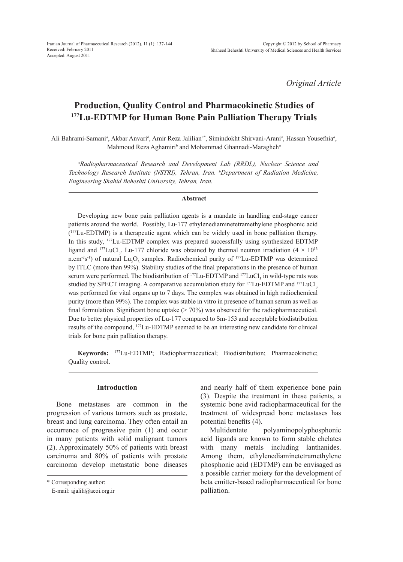Iranian Journal of Pharmaceutical Research (2012), 11 (1): 137-144 Received: February 2011 Accepted: August 2011

*Original Article*

# **Production, Quality Control and Pharmacokinetic Studies of 177Lu-EDTMP for Human Bone Pain Palliation Therapy Trials**

Ali Bahrami-Samani*<sup>a</sup>* , Akbar Anvari*<sup>b</sup>* , Amir Reza Jalilian*a\**, Simindokht Shirvani-Arani*<sup>a</sup>* , Hassan Yousefnia*<sup>a</sup>* , Mahmoud Reza Aghamiri*<sup>b</sup>* and Mohammad Ghannadi-Maragheh*<sup>a</sup>*

*a Radiopharmaceutical Research and Development Lab (RRDL), Nuclear Science and Technology Research Institute (NSTRI), Tehran, Iran. <sup>b</sup> Department of Radiation Medicine, Engineering Shahid Beheshti University, Tehran, Iran.*

#### **Abstract**

Developing new bone pain palliation agents is a mandate in handling end-stage cancer patients around the world. Possibly, Lu-177 ethylenediaminetetramethylene phosphonic acid (177Lu-EDTMP) is a therapeutic agent which can be widely used in bone palliation therapy. In this study, 177Lu-EDTMP complex was prepared successfully using synthesized EDTMP ligand and <sup>177</sup>LuCl<sub>3</sub>. Lu-177 chloride was obtained by thermal neutron irradiation  $(4 \times 10^{13})$ n.cm<sup>-2</sup>s<sup>-1</sup>) of natural Lu<sub>2</sub>O<sub>3</sub> samples. Radiochemical purity of <sup>177</sup>Lu-EDTMP was determined by ITLC (more than 99%). Stability studies of the final preparations in the presence of human serum were performed. The biodistribution of  $^{177}$ Lu-EDTMP and  $^{177}$ LuCl<sub>3</sub> in wild-type rats was studied by SPECT imaging. A comparative accumulation study for  $177$ Lu-EDTMP and  $177$ LuCl, was performed for vital organs up to 7 days. The complex was obtained in high radiochemical purity (more than 99%). The complex was stable in vitro in presence of human serum as well as final formulation. Significant bone uptake  $(> 70\%)$  was observed for the radiopharmaceutical. Due to better physical properties of Lu-177 compared to Sm-153 and acceptable biodistribution results of the compound, 177Lu-EDTMP seemed to be an interesting new candidate for clinical trials for bone pain palliation therapy.

**Keywords:** 177Lu-EDTMP; Radiopharmaceutical; Biodistribution; Pharmacokinetic; Quality control.

#### **Introduction**

Bone metastases are common in the progression of various tumors such as prostate, breast and lung carcinoma. They often entail an occurrence of progressive pain (1) and occur in many patients with solid malignant tumors (2). Approximately 50% of patients with breast carcinoma and 80% of patients with prostate carcinoma develop metastatic bone diseases and nearly half of them experience bone pain (3). Despite the treatment in these patients, a systemic bone avid radiopharmaceutical for the treatment of widespread bone metastases has potential benefits (4).

Multidentate polyaminopolyphosphonic acid ligands are known to form stable chelates with many metals including lanthanides. Among them, ethylenediaminetetramethylene phosphonic acid (EDTMP) can be envisaged as a possible carrier moiety for the development of beta emitter-based radiopharmaceutical for bone palliation.

<sup>\*</sup> Corresponding author:

E-mail: ajalili@aeoi.org.ir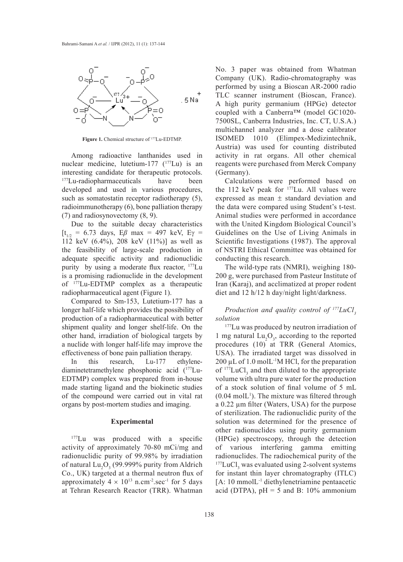

Figure 1. Chemical structure of <sup>177</sup>Lu-EDTMP.

Among radioactive lanthanides used in nuclear medicine, lutetium-177  $(^{177}$ Lu) is an interesting candidate for therapeutic protocols. <sup>177</sup>Lu-radiopharmaceuticals have been developed and used in various procedures, such as somatostatin receptor radiotherapy (5), radioimmunotherapy (6), bone palliation therapy (7) and radiosynovectomy (8, 9).

Due to the suitable decay characteristics  $[t_{1/2} = 6.73 \text{ days}, E\beta \text{ max} = 497 \text{ keV}, E\gamma =$ 112 keV (6.4%), 208 keV (11%)] as well as the feasibility of large-scale production in adequate specific activity and radionuclidic purity by using a moderate flux reactor, 177Lu is a promising radionuclide in the development of 177Lu-EDTMP complex as a therapeutic radiopharmaceutical agent (Figure 1).

Compared to Sm-153, Lutetium-177 has a longer half-life which provides the possibility of production of a radiopharmaceutical with better shipment quality and longer shelf-life. On the other hand, irradiation of biological targets by a nuclide with longer half-life may improve the effectiveness of bone pain palliation therapy.

In this research, Lu-177 ethylenediaminetetramethylene phosphonic acid (177Lu-EDTMP) complex was prepared from in-house made starting ligand and the biokinetic studies of the compound were carried out in vital rat organs by post-mortem studies and imaging.

### **Experimental**

<sup>177</sup>Lu was produced with a specific activity of approximately 70-80 mCi/mg and radionuclidic purity of 99.98% by irradiation of natural  $\text{Lu}_2\text{O}_3$  (99.999% purity from Aldrich Co., UK) targeted at a thermal neutron flux of approximately  $4 \times 10^{13}$  n.cm<sup>-2</sup>.sec<sup>-1</sup> for 5 days at Tehran Research Reactor (TRR). Whatman

No. 3 paper was obtained from Whatman Company (UK). Radio-chromatography was performed by using a Bioscan AR-2000 radio TLC scanner instrument (Bioscan, France). A high purity germanium (HPGe) detector coupled with a Canberra™ (model GC1020- 7500SL, Canberra Industries, Inc. CT, U.S.A.) multichannel analyzer and a dose calibrator ISOMED 1010 (Elimpex-Medizintechnik, Austria) was used for counting distributed activity in rat organs. All other chemical reagents were purchased from Merck Company (Germany).

Calculations were performed based on the 112 keV peak for <sup>177</sup>Lu. All values were expressed as mean ± standard deviation and the data were compared using Student's t-test. Animal studies were performed in accordance with the United Kingdom Biological Council's Guidelines on the Use of Living Animals in Scientific Investigations (1987). The approval of NSTRI Ethical Committee was obtained for conducting this research.

The wild-type rats (NMRI), weighing 180- 200 g, were purchased from Pasteur Institute of Iran (Karaj), and acclimatized at proper rodent diet and 12 h/12 h day/night light/darkness.

*Production and quality control of <sup>177</sup>LuCl*<sub>3</sub> *solution* 

<sup>177</sup>Lu was produced by neutron irradiation of 1 mg natural  $Lu_2O_3$ , according to the reported procedures (10) at TRR (General Atomics, USA). The irradiated target was dissolved in  $200 \mu L$  of 1.0 molL<sup>-1</sup>M HCl, for the preparation of  $177 \text{LuCl}_3$  and then diluted to the appropriate volume with ultra pure water for the production of a stock solution of final volume of 5 mL  $(0.04 \text{ molL}^1)$ . The mixture was filtered through a 0.22 µm filter (Waters, USA) for the purpose of sterilization. The radionuclidic purity of the solution was determined for the presence of other radionuclides using purity germanium (HPGe) spectroscopy, through the detection of various interfering gamma emitting radionuclides. The radiochemical purity of the  $177$ LuCl<sub>3</sub> was evaluated using 2-solvent systems for instant thin layer chromatography (ITLC) [A: 10 mmolL-1 diethylenetriamine pentaacetic acid (DTPA),  $pH = 5$  and B: 10% ammonium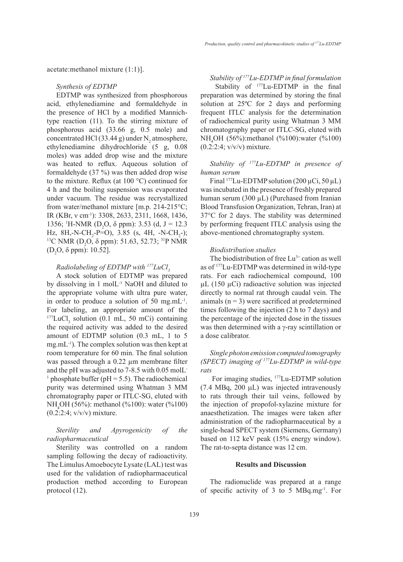acetate:methanol mixture (1:1)].

## *Synthesis of EDTMP*

EDTMP was synthesized from phosphorous acid, ethylenediamine and formaldehyde in the presence of HCl by a modified Mannichtype reaction (11). To the stirring mixture of phosphorous acid (33.66 g, 0.5 mole) and concentrated HCl (33.44 g) under  $N_2$  atmosphere, ethylenediamine dihydrochloride (5 g, 0.08 moles) was added drop wise and the mixture was heated to reflux. Aqueous solution of formaldehyde (37 %) was then added drop wise to the mixture. Reflux (at 100 °C) continued for 4 h and the boiling suspension was evaporated under vacuum. The residue was recrystallized from water/methanol mixture [m.p. 214-215°C; IR (KBr, ν cm-1): 3308, 2633, 2311, 1668, 1436, 1356; <sup>1</sup>H-NMR (D<sub>2</sub>O,  $\delta$  ppm): 3.53 (d, J = 12.3 Hz, 8H,-N-CH<sub>2</sub>-P=O), 3.85 (s, 4H, -N-CH<sub>2</sub> Hz, 8H,-N-CH<sub>2</sub>-P=O), 3.85 (s, 4H, -N-CH<sub>2</sub>-);<br><sup>13</sup>C NMR (D<sub>2</sub>O,  $\delta$  ppm): 51.63, 52.73; <sup>31</sup>P NMR  $(D_2O, δ ppm): 10.52$ ].

# *Radiolabeling of EDTMP with <sup>177</sup>LuCl*<sub>3</sub>

A stock solution of EDTMP was prepared by dissolving in 1 molL-1 NaOH and diluted to the appropriate volume with ultra pure water, in order to produce a solution of 50 mg.m $L^{-1}$ . For labeling, an appropriate amount of the  $177$ LuCl<sub>3</sub> solution (0.1 mL, 50 mCi) containing the required activity was added to the desired amount of EDTMP solution (0.3 mL, 1 to 5 mg.mL-1). The complex solution was then kept at room temperature for 60 min. The final solution was passed through a 0.22  $\mu$ m membrane filter and the pH was adjusted to 7-8.5 with 0.05 molL-<sup>1</sup> phosphate buffer ( $pH = 5.5$ ). The radiochemical purity was determined using Whatman 3 MM chromatography paper or ITLC-SG, eluted with NH<sub>4</sub>OH (56%): methanol (%100): water (%100) (0.2:2:4; v/v/v) mixture.

*Sterility and Apyrogenicity of the radiopharmaceutical* 

Sterility was controlled on a random sampling following the decay of radioactivity. The Limulus Amoebocyte Lysate (LAL) test was used for the validation of radiopharmaceutical production method according to European protocol (12).

*Stability of 177Lu-EDTMP in final formulation*  Stability of  $177$ Lu-EDTMP in the final preparation was determined by storing the final solution at 25ºC for 2 days and performing frequent ITLC analysis for the determination of radiochemical purity using Whatman 3 MM chromatography paper or ITLC-SG, eluted with NH4 OH (56%):methanol (%100):water (%100) (0.2:2:4; v/v/v) mixture.

# *Stability of 177Lu-EDTMP in presence of human serum*

Final  $177$ Lu-EDTMP solution (200 µCi, 50 µL) was incubated in the presence of freshly prepared human serum (300  $\mu$ L) (Purchased from Iranian Blood Transfusion Organization, Tehran, Iran) at 37°C for 2 days. The stability was determined by performing frequent ITLC analysis using the above-mentioned chromatography system.

# *Biodistribution studies*

The biodistribution of free  $Lu^{3+}$  cation as well as of 177Lu-EDTMP was determined in wild-type rats. For each radiochemical compound, 100  $\mu$ L (150  $\mu$ Ci) radioactive solution was injected directly to normal rat through caudal vein. The animals  $(n = 3)$  were sacrificed at predetermined times following the injection (2 h to 7 days) and the percentage of the injected dose in the tissues was then determined with a γ-ray scintillation or a dose calibrator.

# *Single photon emission computed tomography (SPECT) imaging of 177Lu-EDTMP in wild-type rats*

For imaging studies, 177Lu-EDTMP solution  $(7.4 \text{ MBq}, 200 \mu L)$  was injected intravenously to rats through their tail veins, followed by the injection of propofol-xylazine mixture for anaesthetization. The images were taken after administration of the radiopharmaceutical by a single-head SPECT system (Siemens, Germany) based on 112 keV peak (15% energy window). The rat-to-septa distance was 12 cm.

# **Results and Discussion**

The radionuclide was prepared at a range of specific activity of 3 to 5 MBq.mg-1. For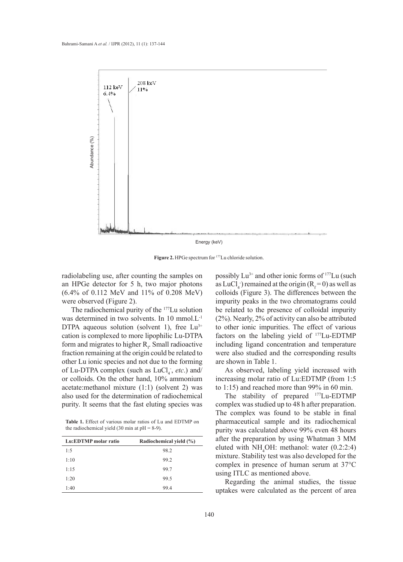

Figure 2. HPGe spectrum for <sup>177</sup>Lu chloride solution.

radiolabeling use, after counting the samples on an HPGe detector for 5 h, two major photons (6.4% of 0.112 MeV and 11% of 0.208 MeV) were observed (Figure 2).

The radiochemical purity of the 177Lu solution was determined in two solvents. In 10 mmol.L-1 DTPA aqueous solution (solvent 1), free  $Lu^{3+}$ cation is complexed to more lipophilic Lu-DTPA form and migrates to higher  $R_f$ . Small radioactive fraction remaining at the origin could be related to other Lu ionic species and not due to the forming of Lu-DTPA complex (such as LuCl<sub>4</sub>, *etc.*) and/ or colloids. On the other hand, 10% ammonium acetate:methanol mixture (1:1) (solvent 2) was also used for the determination of radiochemical purity. It seems that the fast eluting species was

**Table 1.** Effect of various molar ratios of Lu and EDTMP on the radiochemical yield (30 min at  $pH = 8-9$ ).

| Lu:EDTMP molar ratio | Radiochemical yield (%) |
|----------------------|-------------------------|
| 1:5                  | 98.2                    |
| 1:10                 | 99.2                    |
| 1:15                 | 99.7                    |
| 1:20                 | 99.5                    |
| 1:40                 | 99.4                    |

possibly  $Lu^{3+}$  and other ionic forms of  $177Lu$  (such as  $LuCl<sub>4</sub>$ ) remained at the origin ( $R<sub>f</sub> = 0$ ) as well as colloids (Figure 3). The differences between the impurity peaks in the two chromatograms could be related to the presence of colloidal impurity (2%). Nearly, 2% of activity can also be attributed to other ionic impurities. The effect of various factors on the labeling yield of 177Lu-EDTMP including ligand concentration and temperature were also studied and the corresponding results are shown in Table 1.

As observed, labeling yield increased with increasing molar ratio of Lu:EDTMP (from 1:5 to 1:15) and reached more than 99% in 60 min.

The stability of prepared <sup>177</sup>Lu-EDTMP complex was studied up to 48 h after preparation. The complex was found to be stable in final pharmaceutical sample and its radiochemical purity was calculated above 99% even 48 hours after the preparation by using Whatman 3 MM eluted with  $NH<sub>4</sub>OH$ : methanol: water (0.2:2:4) mixture. Stability test was also developed for the complex in presence of human serum at 37°C using ITLC as mentioned above.

Regarding the animal studies, the tissue uptakes were calculated as the percent of area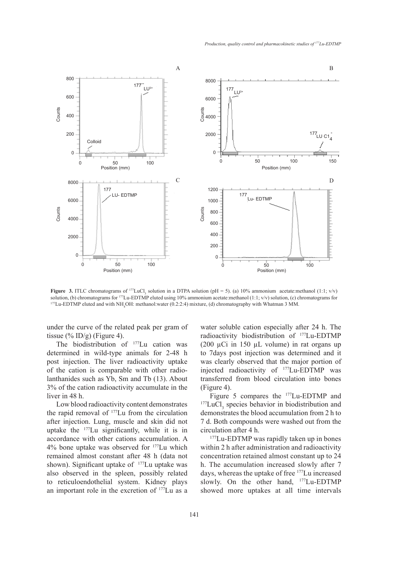

**Figure 3.** ITLC chromatograms of  $177 \text{LuCl}_3$  solution in a DTPA solution (pH = 5). (a) 10% ammonium acetate:methanol (1:1; v/v) solution, (b) chromatograms for <sup>177</sup>Lu-EDTMP eluted using 10% ammonium acetate:methanol (1:1; v/v) solution, (c) chromatograms for<br><sup>177</sup>Lu-EDTMP eluted and with NH<sub>4</sub>OH: methanol:water (0.2:2:4) mixture, (d) chromatograph

under the curve of the related peak per gram of tissue  $(\%$  ID/g) (Figure 4).

The biodistribution of <sup>177</sup>Lu cation was determined in wild-type animals for 2-48 h post injection. The liver radioactivity uptake of the cation is comparable with other radiolanthanides such as Yb, Sm and Tb (13). About 3% of the cation radioactivity accumulate in the liver in 48 h.

Low blood radioactivity content demonstrates the rapid removal of 177Lu from the circulation after injection. Lung, muscle and skin did not uptake the 177Lu significantly, while it is in accordance with other cations accumulation. A 4% bone uptake was observed for 177Lu which remained almost constant after 48 h (data not shown). Significant uptake of <sup>177</sup>Lu uptake was also observed in the spleen, possibly related to reticuloendothelial system. Kidney plays an important role in the excretion of 177Lu as a water soluble cation especially after 24 h. The radioactivity biodistribution of 177Lu-EDTMP (200  $\mu$ Ci in 150  $\mu$ L volume) in rat organs up to 7days post injection was determined and it was clearly observed that the major portion of injected radioactivity of 177Lu-EDTMP was transferred from blood circulation into bones

(Figure 4).<br>Figure 5 compares the <sup>177</sup>Lu-EDTMP and Figure 5 compares the  $^{177}$ Lu-EDTMP and  $^{177}$ LuCl<sub>3</sub> species behavior in biodistribution and demonstrates the blood accumulation from 2 h to 7 d. Both compounds were washed out from the circulation after 4 h.

<sup>177</sup>Lu-EDTMP was rapidly taken up in bones within 2 h after administration and radioactivity concentration retained almost constant up to 24 h. The accumulation increased slowly after 7 days, whereas the uptake of free 177Lu increased slowly. On the other hand, <sup>177</sup>Lu-EDTMP showed more uptakes at all time intervals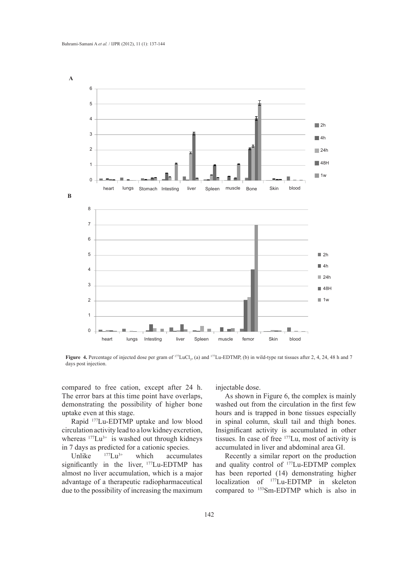

**Figure 4.** Percentage of injected dose per gram of  $^{177}$ LuCl<sub>3</sub>, (a) and  $^{177}$ Lu-EDTMP, (b) in wild-type rat tissues after 2, 4, 24, 48 h and 7 days post injection.

compared to free cation, except after 24 h. The error bars at this time point have overlaps, demonstrating the possibility of higher bone uptake even at this stage.

Rapid 177Lu-EDTMP uptake and low blood circulation activity lead to a low kidney excretion, whereas  $177Lu^{3+}$  is washed out through kidneys in 7 days as predicted for a cationic species.<br>Unlike  $177 \text{La}^{3+}$  which accumul

Unlike  $177 \text{Lu}^{3+}$  which accumulates significantly in the liver, <sup>177</sup>Lu-EDTMP has almost no liver accumulation, which is a major advantage of a therapeutic radiopharmaceutical due to the possibility of increasing the maximum injectable dose.

As shown in Figure 6, the complex is mainly washed out from the circulation in the first few hours and is trapped in bone tissues especially in spinal column, skull tail and thigh bones. Insignificant activity is accumulated in other tissues. In case of free 177Lu, most of activity is accumulated in liver and abdominal area GI.

Recently a similar report on the production and quality control of 177Lu-EDTMP complex has been reported (14) demonstrating higher localization of 177Lu-EDTMP in skeleton compared to <sup>153</sup>Sm-EDTMP which is also in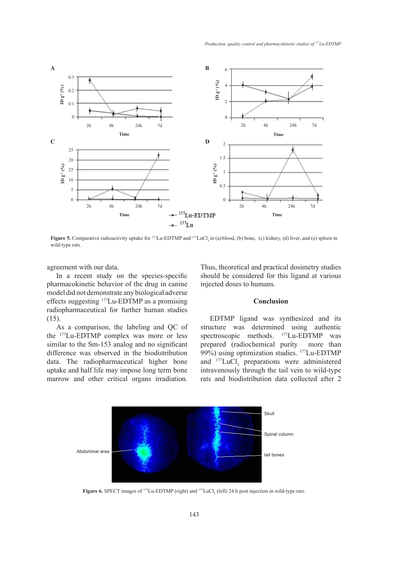

**Figure 5.** Comparative radioactivity uptake for <sup>177</sup>Lu-EDTMP and <sup>177</sup>LuCl, in (a) blood, (b) bone, (c) kidney, (d) liver, and (e) spleen in wild-type rats.

agreement with our data.

In a recent study on the species-specific pharmacokinetic behavior of the drug in canine model did not demonstrate any biological adverse effects suggesting 177Lu-EDTMP as a promising radiopharmaceutical for further human studies (15).

As a comparison, the labeling and QC of the 177Lu-EDTMP complex was more or less similar to the Sm-153 analog and no significant difference was observed in the biodistribution data. The radiopharmaceutical higher bone uptake and half life may impose long term bone marrow and other critical organs irradiation. Thus, theoretical and practical dosimetry studies should be considered for this ligand at various injected doses to humans.

# **Conclusion**

EDTMP ligand was synthesized and its structure was determined using authentic spectroscopic methods. <sup>177</sup>Lu-EDTMP was prepared (radiochemical purity more than 99%) using optimization studies. <sup>177</sup>Lu-EDTMP and  $^{177}$ LuCl<sub>3</sub> preparations were administered intravenously through the tail vein to wild-type rats and biodistribution data collected after 2



**Figure 6.** SPECT images of  $^{177}$ Lu-EDTMP (right) and  $^{177}$ LuCl<sub>3</sub> (left) 24 h post injection in wild-type rats.